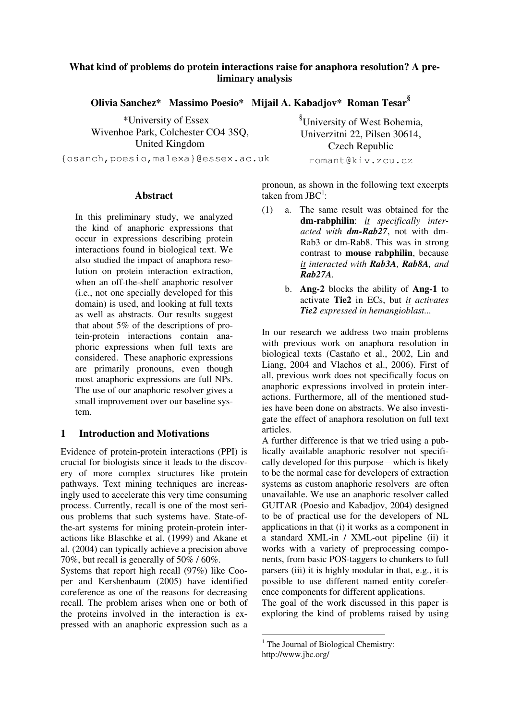# **What kind of problems do protein interactions raise for anaphora resolution? A preliminary analysis**

**Olivia Sanchez\* Massimo Poesio\* Mijail A. Kabadjov\* Roman Tesar §**

\*University of Essex Wivenhoe Park, Colchester CO4 3SQ, United Kingdom

{osanch,poesio,malexa}@essex.ac.uk

### **Abstract**

In this preliminary study, we analyzed the kind of anaphoric expressions that occur in expressions describing protein interactions found in biological text. We also studied the impact of anaphora resolution on protein interaction extraction, when an off-the-shelf anaphoric resolver (i.e., not one specially developed for this domain) is used, and looking at full texts as well as abstracts. Our results suggest that about 5% of the descriptions of protein-protein interactions contain anaphoric expressions when full texts are considered. These anaphoric expressions are primarily pronouns, even though most anaphoric expressions are full NPs. The use of our anaphoric resolver gives a small improvement over our baseline system.

## **1 Introduction and Motivations**

Evidence of protein-protein interactions (PPI) is crucial for biologists since it leads to the discovery of more complex structures like protein pathways. Text mining techniques are increasingly used to accelerate this very time consuming process. Currently, recall is one of the most serious problems that such systems have. State-ofthe-art systems for mining protein-protein interactions like Blaschke et al. (1999) and Akane et al. (2004) can typically achieve a precision above 70%, but recall is generally of 50% / 60%.

Systems that report high recall (97%) like Cooper and Kershenbaum (2005) have identified coreference as one of the reasons for decreasing recall. The problem arises when one or both of the proteins involved in the interaction is expressed with an anaphoric expression such as a

<sup>§</sup>University of West Bohemia, Univerzitni 22, Pilsen 30614, Czech Republic romant@kiv.zcu.cz

pronoun, as shown in the following text excerpts taken from  $\mathrm{JBC}^1$ :

- (1) a. The same result was obtained for the **dm-rabphilin**: *it specifically interacted with dm-Rab27*, not with dm-Rab3 or dm-Rab8. This was in strong contrast to **mouse rabphilin**, because *it interacted with Rab3A, Rab8A, and Rab27A.*
	- b. **Ang-2** blocks the ability of **Ang-1** to activate **Tie2** in ECs, but *it activates Tie2 expressed in hemangioblast...*

In our research we address two main problems with previous work on anaphora resolution in biological texts (Castaño et al., 2002, Lin and Liang, 2004 and Vlachos et al., 2006). First of all, previous work does not specifically focus on anaphoric expressions involved in protein interactions. Furthermore, all of the mentioned studies have been done on abstracts. We also investigate the effect of anaphora resolution on full text articles.

A further difference is that we tried using a publically available anaphoric resolver not specifically developed for this purpose—which is likely to be the normal case for developers of extraction systems as custom anaphoric resolvers are often unavailable. We use an anaphoric resolver called GUITAR (Poesio and Kabadjov, 2004) designed to be of practical use for the developers of NL applications in that (i) it works as a component in a standard XML-in / XML-out pipeline (ii) it works with a variety of preprocessing components, from basic POS-taggers to chunkers to full parsers (iii) it is highly modular in that, e.g., it is possible to use different named entity coreference components for different applications.

The goal of the work discussed in this paper is exploring the kind of problems raised by using

 $<sup>1</sup>$  The Journal of Biological Chemistry:</sup> http://www.jbc.org/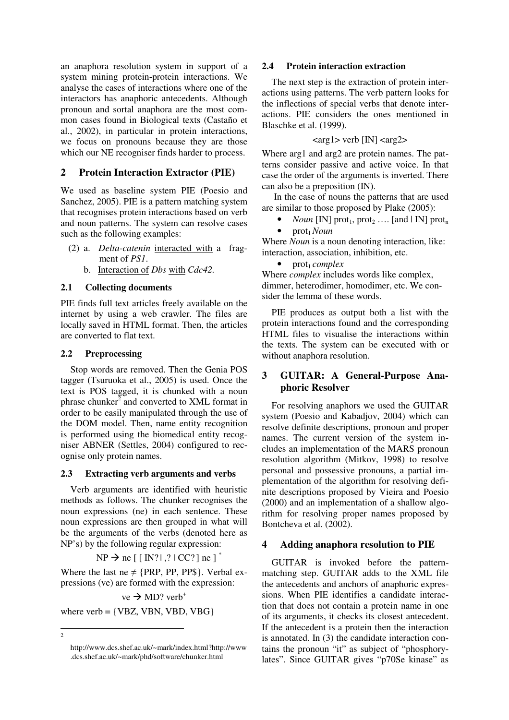an anaphora resolution system in support of a system mining protein-protein interactions. We analyse the cases of interactions where one of the interactors has anaphoric antecedents. Although pronoun and sortal anaphora are the most common cases found in Biological texts (Castaño et al., 2002), in particular in protein interactions, we focus on pronouns because they are those which our NE recogniser finds harder to process.

#### **2 Protein Interaction Extractor (PIE)**

We used as baseline system PIE (Poesio and Sanchez, 2005). PIE is a pattern matching system that recognises protein interactions based on verb and noun patterns. The system can resolve cases such as the following examples:

- (2) a. *Delta-catenin* interacted with a fragment of *PS1*.
	- b. Interaction of *Dbs* with *Cdc42.*

#### **2.1 Collecting documents**

PIE finds full text articles freely available on the internet by using a web crawler. The files are locally saved in HTML format. Then, the articles are converted to flat text.

#### **2.2 Preprocessing**

Stop words are removed. Then the Genia POS tagger (Tsuruoka et al., 2005) is used. Once the text is POS tagged, it is chunked with a noun phrase chunker<sup>2</sup> and converted to XML format in order to be easily manipulated through the use of the DOM model. Then, name entity recognition is performed using the biomedical entity recogniser ABNER (Settles, 2004) configured to recognise only protein names.

#### **2.3 Extracting verb arguments and verbs**

Verb arguments are identified with heuristic methods as follows. The chunker recognises the noun expressions (ne) in each sentence. These noun expressions are then grouped in what will be the arguments of the verbs (denoted here as NP's) by the following regular expression:

 $NP \rightarrow$  ne [ [ IN? | ,? | CC? ] ne ]<sup>\*</sup>

Where the last ne  $\neq$  {PRP, PP, PP\$}. Verbal expressions (ve) are formed with the expression:

 $ve \rightarrow MD?$  verb<sup>+</sup>

where  $verb = \{VBZ, VBN, VBD, VBG\}$ 

## **2.4 Protein interaction extraction**

The next step is the extraction of protein interactions using patterns. The verb pattern looks for the inflections of special verbs that denote interactions. PIE considers the ones mentioned in Blaschke et al. (1999).

### $\langle \text{arg1} \rangle$  verb [IN]  $\langle \text{arg2} \rangle$

Where arg1 and arg2 are protein names. The patterns consider passive and active voice. In that case the order of the arguments is inverted. There can also be a preposition (IN).

In the case of nouns the patterns that are used are similar to those proposed by Plake (2005):

- *Noun* [IN] prot<sub>1</sub>, prot<sub>2</sub> .... [and  $| IN|$  prot<sub>n</sub>
- prot<sub>1</sub> Noun

Where *Noun* is a noun denoting interaction, like: interaction, association, inhibition, etc.

prot<sub>1</sub> *complex* Where *complex* includes words like complex, dimmer, heterodimer, homodimer, etc. We consider the lemma of these words.

PIE produces as output both a list with the protein interactions found and the corresponding HTML files to visualise the interactions within the texts. The system can be executed with or without anaphora resolution.

### **3 GUITAR: A General-Purpose Anaphoric Resolver**

For resolving anaphors we used the GUITAR system (Poesio and Kabadjov, 2004) which can resolve definite descriptions, pronoun and proper names. The current version of the system includes an implementation of the MARS pronoun resolution algorithm (Mitkov, 1998) to resolve personal and possessive pronouns, a partial implementation of the algorithm for resolving definite descriptions proposed by Vieira and Poesio (2000) and an implementation of a shallow algorithm for resolving proper names proposed by Bontcheva et al. (2002).

#### **4 Adding anaphora resolution to PIE**

GUITAR is invoked before the patternmatching step. GUITAR adds to the XML file the antecedents and anchors of anaphoric expressions. When PIE identifies a candidate interaction that does not contain a protein name in one of its arguments, it checks its closest antecedent. If the antecedent is a protein then the interaction is annotated. In (3) the candidate interaction contains the pronoun "it" as subject of "phosphorylates". Since GUITAR gives "p70Se kinase" as

<sup>2</sup>

http://www.dcs.shef.ac.uk/~mark/index.html?http://www .dcs.shef.ac.uk/~mark/phd/software/chunker.html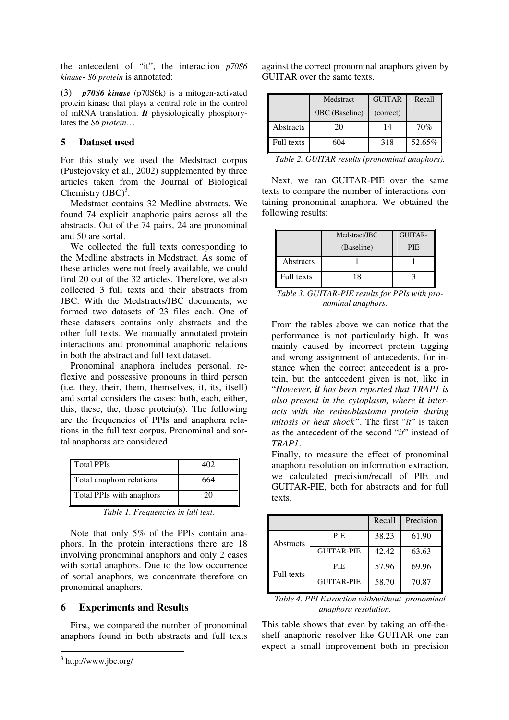the antecedent of "it", the interaction *p70S6 kinase*- *S6 protein* is annotated:

(3) *p70S6 kinase* (p70S6k) is a mitogen-activated protein kinase that plays a central role in the control of mRNA translation. *It* physiologically phosphorylates the *S6 protein*…

# **5 Dataset used**

For this study we used the Medstract corpus (Pustejovsky et al., 2002) supplemented by three articles taken from the Journal of Biological Chemistry  $(JBC)^3$ .

Medstract contains 32 Medline abstracts. We found 74 explicit anaphoric pairs across all the abstracts. Out of the 74 pairs, 24 are pronominal and 50 are sortal.

We collected the full texts corresponding to the Medline abstracts in Medstract. As some of these articles were not freely available, we could find 20 out of the 32 articles. Therefore, we also collected 3 full texts and their abstracts from JBC. With the Medstracts/JBC documents, we formed two datasets of 23 files each. One of these datasets contains only abstracts and the other full texts. We manually annotated protein interactions and pronominal anaphoric relations in both the abstract and full text dataset.

Pronominal anaphora includes personal, reflexive and possessive pronouns in third person (i.e. they, their, them, themselves, it, its, itself) and sortal considers the cases: both, each, either, this, these, the, those protein(s). The following are the frequencies of PPIs and anaphora relations in the full text corpus. Pronominal and sortal anaphoras are considered.

| <b>Total PPIs</b>        | 402 |
|--------------------------|-----|
| Total anaphora relations | 664 |
| Total PPIs with anaphors | 20  |

*Table 1. Frequencies in full text.*

Note that only 5% of the PPIs contain anaphors. In the protein interactions there are 18 involving pronominal anaphors and only 2 cases with sortal anaphors. Due to the low occurrence of sortal anaphors, we concentrate therefore on pronominal anaphors.

# **6 Experiments and Results**

First, we compared the number of pronominal anaphors found in both abstracts and full texts against the correct pronominal anaphors given by GUITAR over the same texts.

|            | Medstract       | <b>GUITAR</b> | Recall |
|------------|-----------------|---------------|--------|
|            | /JBC (Baseline) | (correct)     |        |
| Abstracts  | 20              | 14            | 70%    |
| Full texts | 604             | 318           | 52.65% |

*Table 2. GUITAR results (pronominal anaphors).*

Next, we ran GUITAR-PIE over the same texts to compare the number of interactions containing pronominal anaphora. We obtained the following results:

|            | Medstract/JBC<br>(Baseline) | <b>GUITAR-</b><br><b>PIE</b> |
|------------|-----------------------------|------------------------------|
| Abstracts  |                             |                              |
| Full texts | 18                          |                              |

*Table 3. GUITAR-PIE results for PPIs with pronominal anaphors.*

From the tables above we can notice that the performance is not particularly high. It was mainly caused by incorrect protein tagging and wrong assignment of antecedents, for instance when the correct antecedent is a protein, but the antecedent given is not, like in "*However, it has been reported that TRAP1 is also present in the cytoplasm, where it interacts with the retinoblastoma protein during mitosis or heat shock"*. The first "*it*" is taken as the antecedent of the second "*it*" instead of *TRAP1*.

Finally, to measure the effect of pronominal anaphora resolution on information extraction, we calculated precision/recall of PIE and GUITAR-PIE, both for abstracts and for full texts.

|            |                   | Recall | Precision |
|------------|-------------------|--------|-----------|
| Abstracts  | <b>PIE</b>        | 38.23  | 61.90     |
|            | <b>GUITAR-PIE</b> | 42.42  | 63.63     |
| Full texts | <b>PIE</b>        | 57.96  | 69.96     |
|            | <b>GUITAR-PIE</b> | 58.70  | 70.87     |

*Table 4. PPI Extraction with/without pronominal anaphora resolution.*

This table shows that even by taking an off-theshelf anaphoric resolver like GUITAR one can expect a small improvement both in precision

 $3$  http://www.jbc.org/